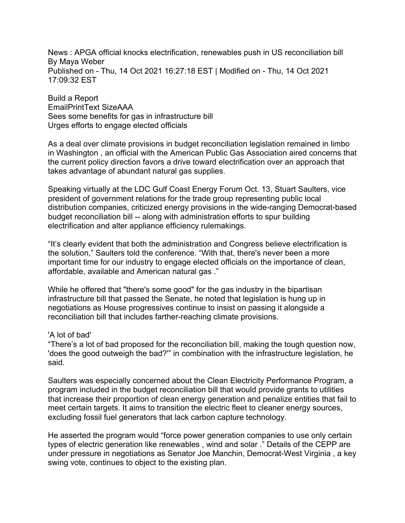News : APGA official knocks electrification, renewables push in US reconciliation bill By Maya Weber Published on - Thu, 14 Oct 2021 16:27:18 EST | Modified on - Thu, 14 Oct 2021 17:09:32 EST

Build a Report EmailPrintText SizeAAA Sees some benefits for gas in infrastructure bill Urges efforts to engage elected officials

As a deal over climate provisions in budget reconciliation legislation remained in limbo in Washington , an official with the American Public Gas Association aired concerns that the current policy direction favors a drive toward electrification over an approach that takes advantage of abundant natural gas supplies.

Speaking virtually at the LDC Gulf Coast Energy Forum Oct. 13, Stuart Saulters, vice president of government relations for the trade group representing public local distribution companies, criticized energy provisions in the wide-ranging Democrat-based budget reconciliation bill -- along with administration efforts to spur building electrification and alter appliance efficiency rulemakings.

"It's clearly evident that both the administration and Congress believe electrification is the solution," Saulters told the conference. "With that, there's never been a more important time for our industry to engage elected officials on the importance of clean, affordable, available and American natural gas ."

While he offered that "there's some good" for the gas industry in the bipartisan infrastructure bill that passed the Senate, he noted that legislation is hung up in negotiations as House progressives continue to insist on passing it alongside a reconciliation bill that includes farther-reaching climate provisions.

## 'A lot of bad'

"There's a lot of bad proposed for the reconciliation bill, making the tough question now, 'does the good outweigh the bad?'" in combination with the infrastructure legislation, he said.

Saulters was especially concerned about the Clean Electricity Performance Program, a program included in the budget reconciliation bill that would provide grants to utilities that increase their proportion of clean energy generation and penalize entities that fail to meet certain targets. It aims to transition the electric fleet to cleaner energy sources, excluding fossil fuel generators that lack carbon capture technology.

He asserted the program would "force power generation companies to use only certain types of electric generation like renewables , wind and solar ." Details of the CEPP are under pressure in negotiations as Senator Joe Manchin, Democrat-West Virginia , a key swing vote, continues to object to the existing plan.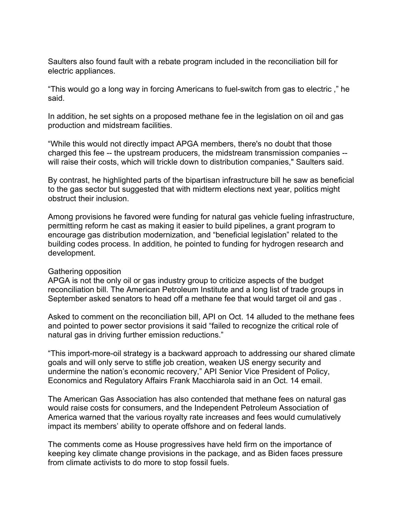Saulters also found fault with a rebate program included in the reconciliation bill for electric appliances.

"This would go a long way in forcing Americans to fuel-switch from gas to electric ," he said.

In addition, he set sights on a proposed methane fee in the legislation on oil and gas production and midstream facilities.

"While this would not directly impact APGA members, there's no doubt that those charged this fee -- the upstream producers, the midstream transmission companies - will raise their costs, which will trickle down to distribution companies," Saulters said.

By contrast, he highlighted parts of the bipartisan infrastructure bill he saw as beneficial to the gas sector but suggested that with midterm elections next year, politics might obstruct their inclusion.

Among provisions he favored were funding for natural gas vehicle fueling infrastructure, permitting reform he cast as making it easier to build pipelines, a grant program to encourage gas distribution modernization, and "beneficial legislation" related to the building codes process. In addition, he pointed to funding for hydrogen research and development.

## Gathering opposition

APGA is not the only oil or gas industry group to criticize aspects of the budget reconciliation bill. The American Petroleum Institute and a long list of trade groups in September asked senators to head off a methane fee that would target oil and gas .

Asked to comment on the reconciliation bill, API on Oct. 14 alluded to the methane fees and pointed to power sector provisions it said "failed to recognize the critical role of natural gas in driving further emission reductions."

"This import-more-oil strategy is a backward approach to addressing our shared climate goals and will only serve to stifle job creation, weaken US energy security and undermine the nation's economic recovery," API Senior Vice President of Policy, Economics and Regulatory Affairs Frank Macchiarola said in an Oct. 14 email.

The American Gas Association has also contended that methane fees on natural gas would raise costs for consumers, and the Independent Petroleum Association of America warned that the various royalty rate increases and fees would cumulatively impact its members' ability to operate offshore and on federal lands.

The comments come as House progressives have held firm on the importance of keeping key climate change provisions in the package, and as Biden faces pressure from climate activists to do more to stop fossil fuels.